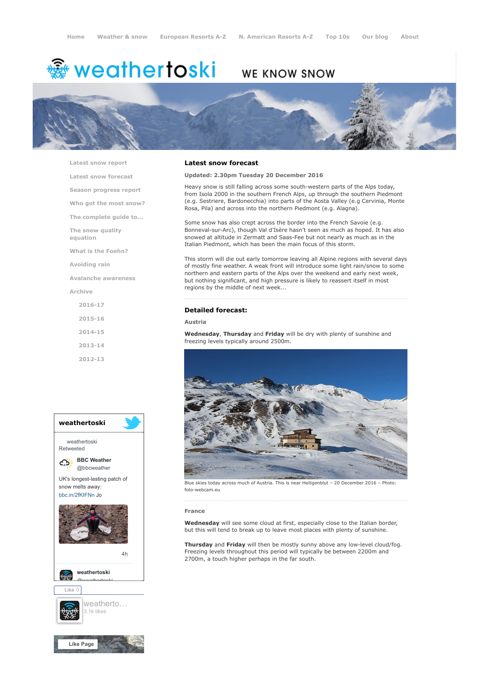# **※ weathertoski**

# WE KNOW SNOW



[Latest snow report](https://www.weathertoski.co.uk/weather-snow/latest-snow-report/)

[Latest snow forecast](https://www.weathertoski.co.uk/weather-snow/latest-snow-forecast/)

[Season progress report](https://www.weathertoski.co.uk/weather-snow/season-progress-report/)

[Who got the most snow?](https://www.weathertoski.co.uk/weather-snow/who-got-the-most-snow/)

[The complete guide to...](https://www.weathertoski.co.uk/weather-snow/the-complete-guide-to/)

[The snow quality](https://www.weathertoski.co.uk/weather-snow/the-snow-quality-equation/)

[What is the Foehn?](https://www.weathertoski.co.uk/weather-snow/what-is-the-foehn/)

[Avoiding rain](https://www.weathertoski.co.uk/weather-snow/avoiding-rain/)

equation

[Avalanche awareness](https://www.weathertoski.co.uk/weather-snow/avalanche-awareness/)

[Archive](https://www.weathertoski.co.uk/weather-snow/archive/)

[2016-17](https://www.weathertoski.co.uk/weather-snow/archive/2016-17/) [2015-16](https://www.weathertoski.co.uk/weather-snow/archive/2015-16/) [2014-15](https://www.weathertoski.co.uk/weather-snow/archive/2014-15/) [2013-14](https://www.weathertoski.co.uk/weather-snow/archive/2013-14/)

[2012-13](https://www.weathertoski.co.uk/weather-snow/archive/2012-13/)



## Latest snow forecast

Updated: 2.30pm Tuesday 20 December 2016

Heavy snow is still falling across some south-western parts of the Alps today, from Isola 2000 in the southern French Alps, up through the southern Piedmont (e.g. Sestriere, Bardonecchia) into parts of the Aosta Valley (e.g Cervinia, Monte Rosa, Pila) and across into the northern Piedmont (e.g. Alagna).

Some snow has also crept across the border into the French Savoie (e.g. Bonneval-sur-Arc), though Val d'Isère hasn't seen as much as hoped. It has also snowed at altitude in Zermatt and Saas-Fee but not nearly as much as in the Italian Piedmont, which has been the main focus of this storm.

This storm will die out early tomorrow leaving all Alpine regions with several days of mostly fine weather. A weak front will introduce some light rain/snow to some northern and eastern parts of the Alps over the weekend and early next week, but nothing significant, and high pressure is likely to reassert itself in most regions by the middle of next week...

# Detailed forecast:

# Austria

Wednesday, Thursday and Friday will be dry with plenty of sunshine and freezing levels typically around 2500m.



Blue skies today across much of Austria. This is near Heiligenblut – 20 December 2016 – Photo: foto-webcam.eu

#### France

Wednesday will see some cloud at first, especially close to the Italian border. but this will tend to break up to leave most places with plenty of sunshine.

Thursday and Friday will then be mostly sunny above any low-level cloud/fog. Freezing levels throughout this period will typically be between 2200m and 2700m, a touch higher perhaps in the far south.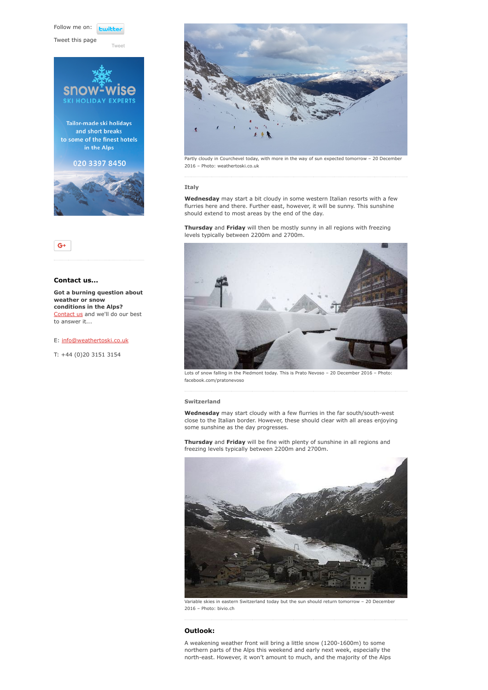Follow me on: **Luitt** 

[Tweet](https://twitter.com/intent/tweet?original_referer=https%3A%2F%2Fwww.weathertoski.co.uk%2Fweather-snow%2Farchive%2Fsnow-forecast-20-12-2016%2F&ref_src=twsrc%5Etfw&text=Weather%20to%20ski%20-%20Snow%20forecast%20-%2020%20December%202016&tw_p=tweetbutton&url=https%3A%2F%2Fwww.weathertoski.co.uk%2Fweather-snow%2Farchive%2Fsnow-forecast-20-12-2016%2F)

Tweet this page





# Contact us...

Got a burning question about weather or snow conditions in the Alps? [Contact us](https://www.weathertoski.co.uk/about-1/contact-us/) and we'll do our best to answer it...

### E: [info@weathertoski.co.uk](mailto:fraser@weathertoski.co.uk)

T: +44 (0)20 3151 3154



Partly cloudy in Courchevel today, with more in the way of sun expected tomorrow – 20 December 2016 – Photo: weathertoski.co.uk

# Italy

Wednesday may start a bit cloudy in some western Italian resorts with a few flurries here and there. Further east, however, it will be sunny. This sunshine should extend to most areas by the end of the day.

Thursday and Friday will then be mostly sunny in all regions with freezing levels typically between 2200m and 2700m.



Lots of snow falling in the Piedmont today. This is Prato Nevoso – 20 December 2016 – Photo: facebook.com/pratonevoso

Switzerland

Wednesday may start cloudy with a few flurries in the far south/south-west close to the Italian border. However, these should clear with all areas enjoying some sunshine as the day progresses.

Thursday and Friday will be fine with plenty of sunshine in all regions and freezing levels typically between 2200m and 2700m.



Variable skies in eastern Switzerland today but the sun should return tomorrow – 20 December 2016 – Photo: bivio.ch

# Outlook:

A weakening weather front will bring a little snow (1200-1600m) to some northern parts of the Alps this weekend and early next week, especially the north-east. However, it won't amount to much, and the majority of the Alps